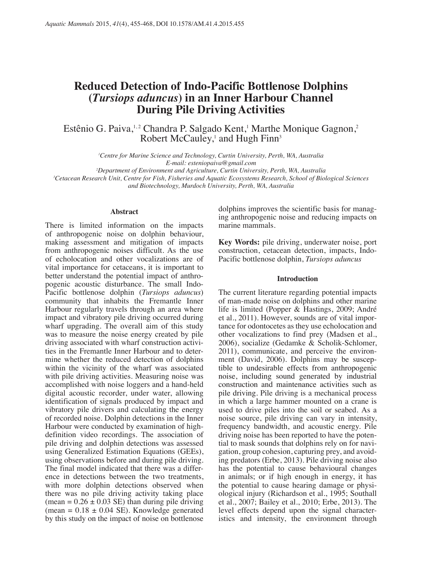# **Reduced Detection of Indo-Pacific Bottlenose Dolphins (***Tursiops aduncus***) in an Inner Harbour Channel During Pile Driving Activities**

Estênio G. Paiva,<sup>1,2</sup> Chandra P. Salgado Kent,<sup>1</sup> Marthe Monique Gagnon,<sup>2</sup> Robert McCauley,<sup>1</sup> and Hugh Finn<sup>3</sup>

> *1 Centre for Marine Science and Technology, Curtin University, Perth, WA, Australia E-mail: esteniopaiva@gmail.com*

*2 Department of Environment and Agriculture, Curtin University, Perth, WA, Australia 3 Cetacean Research Unit, Centre for Fish, Fisheries and Aquatic Ecosystems Research, School of Biological Sciences and Biotechnology, Murdoch University, Perth, WA, Australia*

#### **Abstract**

There is limited information on the impacts of anthropogenic noise on dolphin behaviour, making assessment and mitigation of impacts from anthropogenic noises difficult. As the use of echolocation and other vocalizations are of vital importance for cetaceans, it is important to better understand the potential impact of anthropogenic acoustic disturbance. The small Indo-Pacific bottlenose dolphin (*Tursiops aduncus*) community that inhabits the Fremantle Inner Harbour regularly travels through an area where impact and vibratory pile driving occurred during wharf upgrading. The overall aim of this study was to measure the noise energy created by pile driving associated with wharf construction activities in the Fremantle Inner Harbour and to determine whether the reduced detection of dolphins within the vicinity of the wharf was associated with pile driving activities. Measuring noise was accomplished with noise loggers and a hand-held digital acoustic recorder, under water, allowing identification of signals produced by impact and vibratory pile drivers and calculating the energy of recorded noise. Dolphin detections in the Inner Harbour were conducted by examination of highdefinition video recordings. The association of pile driving and dolphin detections was assessed using Generalized Estimation Equations (GEEs), using observations before and during pile driving. The final model indicated that there was a difference in detections between the two treatments, with more dolphin detections observed when there was no pile driving activity taking place (mean =  $0.26 \pm 0.03$  SE) than during pile driving (mean =  $0.18 \pm 0.04$  SE). Knowledge generated by this study on the impact of noise on bottlenose

dolphins improves the scientific basis for managing anthropogenic noise and reducing impacts on marine mammals.

**Key Words:** pile driving, underwater noise, port construction, cetacean detection, impacts, Indo-Pacific bottlenose dolphin, *Tursiops aduncus*

## **Introduction**

The current literature regarding potential impacts of man-made noise on dolphins and other marine life is limited (Popper & Hastings, 2009; André et al., 2011). However, sounds are of vital importance for odontocetes as they use echolocation and other vocalizations to find prey (Madsen et al., 2006), socialize (Gedamke & Scholik-Schlomer, 2011), communicate, and perceive the environment (David, 2006). Dolphins may be susceptible to undesirable effects from anthropogenic noise, including sound generated by industrial construction and maintenance activities such as pile driving. Pile driving is a mechanical process in which a large hammer mounted on a crane is used to drive piles into the soil or seabed. As a noise source, pile driving can vary in intensity, frequency bandwidth, and acoustic energy. Pile driving noise has been reported to have the potential to mask sounds that dolphins rely on for navigation, group cohesion, capturing prey, and avoiding predators (Erbe, 2013). Pile driving noise also has the potential to cause behavioural changes in animals; or if high enough in energy, it has the potential to cause hearing damage or physiological injury (Richardson et al., 1995; Southall et al., 2007; Bailey et al., 2010; Erbe, 2013). The level effects depend upon the signal characteristics and intensity, the environment through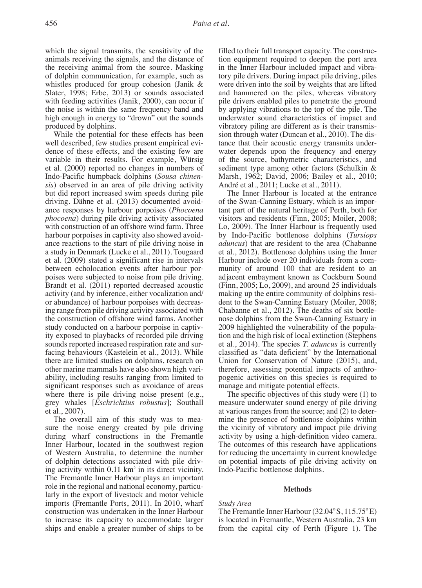which the signal transmits, the sensitivity of the animals receiving the signals, and the distance of the receiving animal from the source. Masking of dolphin communication, for example, such as whistles produced for group cohesion (Janik & Slater, 1998; Erbe, 2013) or sounds associated with feeding activities (Janik, 2000), can occur if the noise is within the same frequency band and high enough in energy to "drown" out the sounds produced by dolphins.

While the potential for these effects has been well described, few studies present empirical evidence of these effects, and the existing few are variable in their results. For example, Würsig et al. (2000) reported no changes in numbers of Indo-Pacific humpback dolphins (*Sousa chinensis*) observed in an area of pile driving activity but did report increased swim speeds during pile driving. Dähne et al. (2013) documented avoidance responses by harbour porpoises (*Phocoena phocoena*) during pile driving activity associated with construction of an offshore wind farm. Three harbour porpoises in captivity also showed avoidance reactions to the start of pile driving noise in a study in Denmark (Lucke et al., 2011). Tougaard et al. (2009) stated a significant rise in intervals between echolocation events after harbour porpoises were subjected to noise from pile driving. Brandt et al. (2011) reported decreased acoustic activity (and by inference, either vocalization and/ or abundance) of harbour porpoises with decreasing range from pile driving activity associated with the construction of offshore wind farms. Another study conducted on a harbour porpoise in captivity exposed to playbacks of recorded pile driving sounds reported increased respiration rate and surfacing behaviours (Kastelein et al., 2013). While there are limited studies on dolphins, research on other marine mammals have also shown high variability, including results ranging from limited to significant responses such as avoidance of areas where there is pile driving noise present (e.g., grey whales [*Eschrichtius robustus*]; Southall et al., 2007).

The overall aim of this study was to measure the noise energy created by pile driving during wharf constructions in the Fremantle Inner Harbour, located in the southwest region of Western Australia, to determine the number of dolphin detections associated with pile driving activity within 0.11 km2 in its direct vicinity. The Fremantle Inner Harbour plays an important role in the regional and national economy, particularly in the export of livestock and motor vehicle imports (Fremantle Ports, 2011). In 2010, wharf construction was undertaken in the Inner Harbour to increase its capacity to accommodate larger ships and enable a greater number of ships to be

filled to their full transport capacity. The construction equipment required to deepen the port area in the Inner Harbour included impact and vibratory pile drivers. During impact pile driving, piles were driven into the soil by weights that are lifted and hammered on the piles, whereas vibratory pile drivers enabled piles to penetrate the ground by applying vibrations to the top of the pile. The underwater sound characteristics of impact and vibratory piling are different as is their transmission through water (Duncan et al., 2010). The distance that their acoustic energy transmits underwater depends upon the frequency and energy of the source, bathymetric characteristics, and sediment type among other factors (Schulkin & Marsh, 1962; David, 2006; Bailey et al., 2010; André et al., 2011; Lucke et al., 2011).

The Inner Harbour is located at the entrance of the Swan-Canning Estuary, which is an important part of the natural heritage of Perth, both for visitors and residents (Finn, 2005; Moiler, 2008; Lo, 2009). The Inner Harbour is frequently used by Indo-Pacific bottlenose dolphins (*Tursiops aduncus*) that are resident to the area (Chabanne et al., 2012). Bottlenose dolphins using the Inner Harbour include over 20 individuals from a community of around 100 that are resident to an adjacent embayment known as Cockburn Sound (Finn, 2005; Lo, 2009), and around 25 individuals making up the entire community of dolphins resident to the Swan-Canning Estuary (Moiler, 2008; Chabanne et al., 2012). The deaths of six bottlenose dolphins from the Swan-Canning Estuary in 2009 highlighted the vulnerability of the population and the high risk of local extinction (Stephens et al., 2014). The species *T. aduncus* is currently classified as "data deficient" by the International Union for Conservation of Nature (2015), and, therefore, assessing potential impacts of anthropogenic activities on this species is required to manage and mitigate potential effects.

The specific objectives of this study were (1) to measure underwater sound energy of pile driving at various ranges from the source; and (2) to determine the presence of bottlenose dolphins within the vicinity of vibratory and impact pile driving activity by using a high-definition video camera. The outcomes of this research have applications for reducing the uncertainty in current knowledge on potential impacts of pile driving activity on Indo-Pacific bottlenose dolphins.

#### **Methods**

## *Study Area*

The Fremantle Inner Harbour  $(32.04\degree S, 115.75\degree E)$ is located in Fremantle, Western Australia, 23 km from the capital city of Perth (Figure 1). The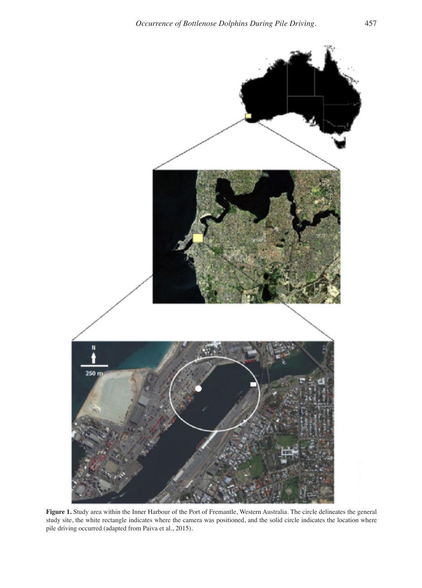

**Figure 1.** Study area within the Inner Harbour of the Port of Fremantle, Western Australia. The circle delineates the general study site, the white rectangle indicates where the camera was positioned, and the solid circle indicates the location where pile driving occurred (adapted from Paiva et al., 2015).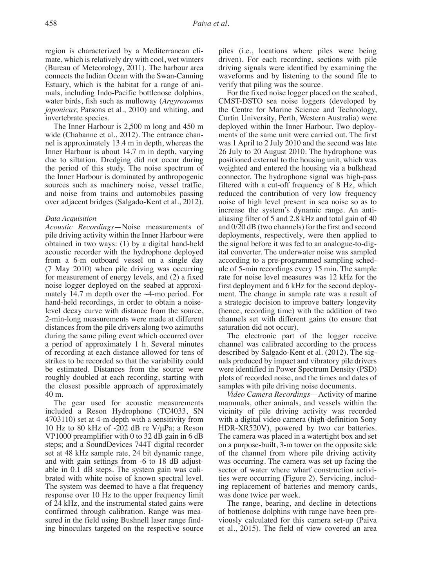region is characterized by a Mediterranean climate, which is relatively dry with cool, wet winters (Bureau of Meteorology, 2011). The harbour area connects the Indian Ocean with the Swan-Canning Estuary, which is the habitat for a range of animals, including Indo-Pacific bottlenose dolphins, water birds, fish such as mulloway (*Argyrosomus japonicas*; Parsons et al., 2010) and whiting, and invertebrate species.

The Inner Harbour is 2,500 m long and 450 m wide (Chabanne et al., 2012). The entrance channel is approximately 13.4 m in depth, whereas the Inner Harbour is about 14.7 m in depth, varying due to siltation. Dredging did not occur during the period of this study. The noise spectrum of the Inner Harbour is dominated by anthropogenic sources such as machinery noise, vessel traffic, and noise from trains and automobiles passing over adjacent bridges (Salgado-Kent et al., 2012).

#### *Data Acquisition*

*Acoustic Recordings*—Noise measurements of pile driving activity within the Inner Harbour were obtained in two ways: (1) by a digital hand-held acoustic recorder with the hydrophone deployed from a 6-m outboard vessel on a single day (7 May 2010) when pile driving was occurring for measurement of energy levels, and (2) a fixed noise logger deployed on the seabed at approximately 14.7 m depth over the  $\sim$ 4-mo period. For hand-held recordings, in order to obtain a noiselevel decay curve with distance from the source, 2-min-long measurements were made at different distances from the pile drivers along two azimuths during the same piling event which occurred over a period of approximately 1 h. Several minutes of recording at each distance allowed for tens of strikes to be recorded so that the variability could be estimated. Distances from the source were roughly doubled at each recording, starting with the closest possible approach of approximately 40 m.

The gear used for acoustic measurements included a Reson Hydrophone (TC4033, SN 4703110) set at 4-m depth with a sensitivity from 10 Hz to 80 kHz of -202 dB re V/μPa; a Reson VP1000 preamplifier with 0 to 32 dB gain in 6 dB steps; and a SoundDevices 744T digital recorder set at 48 kHz sample rate, 24 bit dynamic range, and with gain settings from -6 to 18 dB adjustable in 0.1 dB steps. The system gain was calibrated with white noise of known spectral level. The system was deemed to have a flat frequency response over 10 Hz to the upper frequency limit of 24 kHz, and the instrumental stated gains were confirmed through calibration. Range was measured in the field using Bushnell laser range finding binoculars targeted on the respective source

piles (i.e., locations where piles were being driven). For each recording, sections with pile driving signals were identified by examining the waveforms and by listening to the sound file to verify that piling was the source.

For the fixed noise logger placed on the seabed, CMST-DSTO sea noise loggers (developed by the Centre for Marine Science and Technology, Curtin University, Perth, Western Australia) were deployed within the Inner Harbour. Two deployments of the same unit were carried out. The first was 1 April to 2 July 2010 and the second was late 26 July to 20 August 2010. The hydrophone was positioned external to the housing unit, which was weighted and entered the housing via a bulkhead connector. The hydrophone signal was high-pass filtered with a cut-off frequency of 8 Hz, which reduced the contribution of very low frequency noise of high level present in sea noise so as to increase the system's dynamic range. An antialiasing filter of 5 and 2.8 kHz and total gain of 40 and 0/20 dB (two channels) for the first and second deployments, respectively, were then applied to the signal before it was fed to an analogue-to-digital converter. The underwater noise was sampled according to a pre-programmed sampling schedule of 5-min recordings every 15 min. The sample rate for noise level measures was 12 kHz for the first deployment and 6 kHz for the second deployment. The change in sample rate was a result of a strategic decision to improve battery longevity (hence, recording time) with the addition of two channels set with different gains (to ensure that saturation did not occur).

The electronic part of the logger receive channel was calibrated according to the process described by Salgado-Kent et al. (2012). The signals produced by impact and vibratory pile drivers were identified in Power Spectrum Density (PSD) plots of recorded noise, and the times and dates of samples with pile driving noise documents.

*Video Camera Recordings*—Activity of marine mammals, other animals, and vessels within the vicinity of pile driving activity was recorded with a digital video camera (high-definition Sony HDR-XR520V), powered by two car batteries. The camera was placed in a watertight box and set on a purpose-built, 3-m tower on the opposite side of the channel from where pile driving activity was occurring. The camera was set up facing the sector of water where wharf construction activities were occurring (Figure 2). Servicing, including replacement of batteries and memory cards, was done twice per week.

The range, bearing, and decline in detections of bottlenose dolphins with range have been previously calculated for this camera set-up (Paiva et al., 2015). The field of view covered an area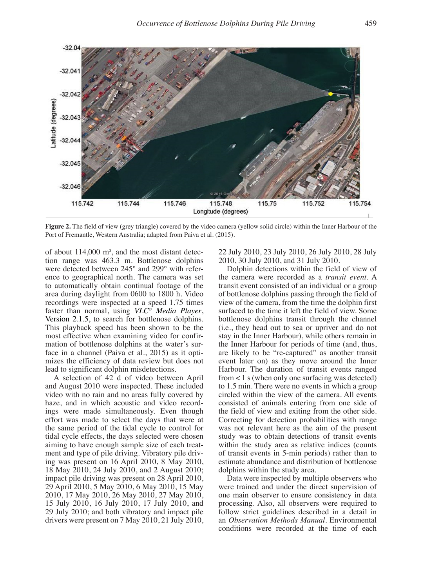

**Figure 2.** The field of view (grey triangle) covered by the video camera (yellow solid circle) within the Inner Harbour of the Port of Fremantle, Western Australia; adapted from Paiva et al. (2015).

of about 114,000 m**<sup>2</sup>** , and the most distant detection range was 463.3 m. Bottlenose dolphins were detected between 245° and 299° with reference to geographical north. The camera was set to automatically obtain continual footage of the area during daylight from 0600 to 1800 h. Video recordings were inspected at a speed 1.75 times faster than normal, using *VLC© Media Player*, Version 2.1.5, to search for bottlenose dolphins. This playback speed has been shown to be the most effective when examining video for confirmation of bottlenose dolphins at the water's surface in a channel (Paiva et al., 2015) as it optimizes the efficiency of data review but does not lead to significant dolphin misdetections.

A selection of 42 d of video between April and August 2010 were inspected. These included video with no rain and no areas fully covered by haze, and in which acoustic and video recordings were made simultaneously. Even though effort was made to select the days that were at the same period of the tidal cycle to control for tidal cycle effects, the days selected were chosen aiming to have enough sample size of each treatment and type of pile driving. Vibratory pile driving was present on 16 April 2010, 8 May 2010, 18 May 2010, 24 July 2010, and 2 August 2010; impact pile driving was present on 28 April 2010, 29 April 2010, 5 May 2010, 6 May 2010, 15 May 2010, 17 May 2010, 26 May 2010, 27 May 2010, 15 July 2010, 16 July 2010, 17 July 2010, and 29 July 2010; and both vibratory and impact pile drivers were present on  $7$  May  $2010$ ,  $21$  July  $2010$ , 22 July 2010, 23 July 2010, 26 July 2010, 28 July 2010, 30 July 2010, and 31 July 2010.

Dolphin detections within the field of view of the camera were recorded as a *transit event*. A transit event consisted of an individual or a group of bottlenose dolphins passing through the field of view of the camera, from the time the dolphin first surfaced to the time it left the field of view. Some bottlenose dolphins transit through the channel (i.e., they head out to sea or upriver and do not stay in the Inner Harbour), while others remain in the Inner Harbour for periods of time (and, thus, are likely to be "re-captured" as another transit event later on) as they move around the Inner Harbour. The duration of transit events ranged from < 1 s (when only one surfacing was detected) to 1.5 min. There were no events in which a group circled within the view of the camera. All events consisted of animals entering from one side of the field of view and exiting from the other side. Correcting for detection probabilities with range was not relevant here as the aim of the present study was to obtain detections of transit events within the study area as relative indices (counts of transit events in 5-min periods) rather than to estimate abundance and distribution of bottlenose dolphins within the study area.

Data were inspected by multiple observers who were trained and under the direct supervision of one main observer to ensure consistency in data processing. Also, all observers were required to follow strict guidelines described in a detail in an *Observation Methods Manual*. Environmental conditions were recorded at the time of each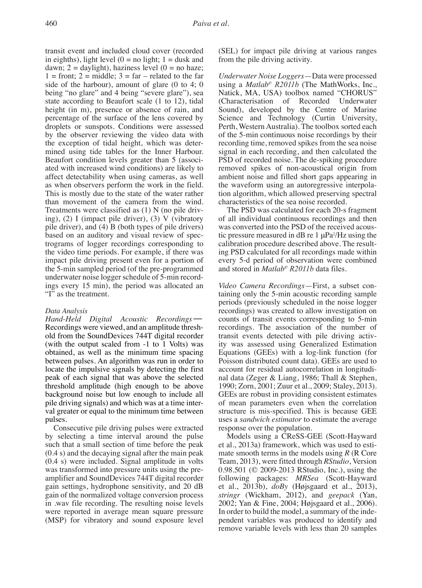transit event and included cloud cover (recorded in eighths), light level  $(0 = no$  light;  $1 =$  dusk and dawn;  $2 =$  daylight), haziness level  $(0 =$  no haze;  $1 =$  front;  $2 =$  middle;  $3 =$  far – related to the far side of the harbour), amount of glare (0 to 4; 0 being "no glare" and 4 being "severe glare"), sea state according to Beaufort scale (1 to 12), tidal height (in m), presence or absence of rain, and percentage of the surface of the lens covered by droplets or sunspots. Conditions were assessed by the observer reviewing the video data with the exception of tidal height, which was determined using tide tables for the Inner Harbour. Beaufort condition levels greater than 5 (associated with increased wind conditions) are likely to affect detectability when using cameras, as well as when observers perform the work in the field. This is mostly due to the state of the water rather than movement of the camera from the wind. Treatments were classified as (1) N (no pile driving), (2) I (impact pile driver), (3) V (vibratory pile driver), and (4) B (both types of pile drivers) based on an auditory and visual review of spectrograms of logger recordings corresponding to the video time periods. For example, if there was impact pile driving present even for a portion of the 5-min sampled period (of the pre-programmed underwater noise logger schedule of 5-min recordings every 15 min), the period was allocated an "I" as the treatment.

## *Data Analysis*

*Hand-Held Digital Acoustic Recordings*— Recordings were viewed, and an amplitude threshold from the SoundDevices 744T digital recorder (with the output scaled from -1 to 1 Volts) was obtained, as well as the minimum time spacing between pulses. An algorithm was run in order to locate the impulsive signals by detecting the first peak of each signal that was above the selected threshold amplitude (high enough to be above background noise but low enough to include all pile driving signals) and which was at a time interval greater or equal to the minimum time between pulses.

Consecutive pile driving pulses were extracted by selecting a time interval around the pulse such that a small section of time before the peak (0.4 s) and the decaying signal after the main peak (0.4 s) were included. Signal amplitude in volts was transformed into pressure units using the preamplifier and SoundDevices 744T digital recorder gain settings, hydrophone sensitivity, and 20 dB gain of the normalized voltage conversion process in .wav file recording. The resulting noise levels were reported in average mean square pressure (MSP) for vibratory and sound exposure level (SEL) for impact pile driving at various ranges from the pile driving activity.

*Underwater Noise Loggers*—Data were processed using a *Matlab© R2011b* (The MathWorks, Inc., Natick, MA, USA) toolbox named "CHORUS" (Characterisation of Recorded Underwater Sound), developed by the Centre of Marine Science and Technology (Curtin University, Perth, Western Australia). The toolbox sorted each of the 5-min continuous noise recordings by their recording time, removed spikes from the sea noise signal in each recording, and then calculated the PSD of recorded noise. The de-spiking procedure removed spikes of non-acoustical origin from ambient noise and filled short gaps appearing in the waveform using an autoregressive interpolation algorithm, which allowed preserving spectral characteristics of the sea noise recorded.

The PSD was calculated for each 20-s fragment of all individual continuous recordings and then was converted into the PSD of the received acoustic pressure measured in dB re  $1 \mu Pa^2/Hz$  using the calibration procedure described above. The resulting PSD calculated for all recordings made within every 5-d period of observation were combined and stored in *Matlab© R2011b* data files.

*Video Camera Recordings*—First, a subset containing only the 5-min acoustic recording sample periods (previously scheduled in the noise logger recordings) was created to allow investigation on counts of transit events corresponding to 5-min recordings. The association of the number of transit events detected with pile driving activity was assessed using Generalized Estimation Equations (GEEs) with a log-link function (for Poisson distributed count data). GEEs are used to account for residual autocorrelation in longitudinal data (Zeger & Liang, 1986; Thall & Stephen, 1990; Zorn, 2001; Zuur et al., 2009; Staley, 2013). GEEs are robust in providing consistent estimates of mean parameters even when the correlation structure is mis-specified. This is because GEE uses a *sandwich estimator* to estimate the average response over the population.

Models using a CReSS-GEE (Scott-Hayward et al., 2013a) framework, which was used to estimate smooth terms in the models using *R* (R Core Team, 2013), were fitted through *RStudio*, Version 0.98.501 (© 2009-2013 RStudio, Inc.), using the following packages: *MRSea* (Scott-Hayward et al., 2013b), *doBy* (Højsgaard et al., 2013), *stringr* (Wickham, 2012), and *geepack* (Yan, 2002; Yan & Fine, 2004; Højsgaard et al., 2006). In order to build the model, a summary of the independent variables was produced to identify and remove variable levels with less than 20 samples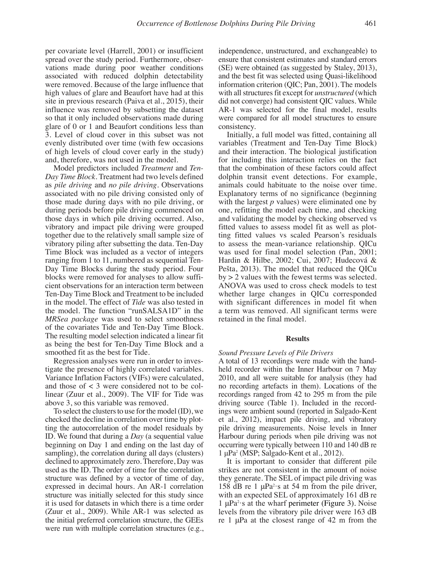per covariate level (Harrell, 2001) or insufficient spread over the study period. Furthermore, observations made during poor weather conditions associated with reduced dolphin detectability were removed. Because of the large influence that high values of glare and Beaufort have had at this site in previous research (Paiva et al., 2015), their influence was removed by subsetting the dataset so that it only included observations made during glare of 0 or 1 and Beaufort conditions less than 3. Level of cloud cover in this subset was not evenly distributed over time (with few occasions of high levels of cloud cover early in the study) and, therefore, was not used in the model.

Model predictors included *Treatment* and *Ten-Day Time Block*. Treatment had two levels defined as *pile driving* and *no pile driving*. Observations associated with no pile driving consisted only of those made during days with no pile driving, or during periods before pile driving commenced on those days in which pile driving occurred. Also, vibratory and impact pile driving were grouped together due to the relatively small sample size of vibratory piling after subsetting the data. Ten-Day Time Block was included as a vector of integers ranging from 1 to 11, numbered as sequential Ten-Day Time Blocks during the study period. Four blocks were removed for analyses to allow sufficient observations for an interaction term between Ten-Day Time Block and Treatment to be included in the model. The effect of *Tide* was also tested in the model. The function "runSALSA1D" in the *MRSea package* was used to select smoothness of the covariates Tide and Ten-Day Time Block. The resulting model selection indicated a linear fit as being the best for Ten-Day Time Block and a smoothed fit as the best for Tide.

Regression analyses were run in order to investigate the presence of highly correlated variables. Variance Inflation Factors (VIFs) were calculated, and those of < 3 were considered not to be collinear (Zuur et al., 2009). The VIF for Tide was above 3, so this variable was removed.

To select the clusters to use for the model (ID), we checked the decline in correlation over time by plotting the autocorrelation of the model residuals by ID. We found that during a *Day* (a sequential value beginning on Day 1 and ending on the last day of sampling), the correlation during all days (clusters) declined to approximately zero. Therefore, Day was used as the ID. The order of time for the correlation structure was defined by a vector of time of day, expressed in decimal hours. An AR-1 correlation structure was initially selected for this study since it is used for datasets in which there is a time order (Zuur et al., 2009). While AR-1 was selected as the initial preferred correlation structure, the GEEs were run with multiple correlation structures (e.g.,

independence, unstructured, and exchangeable) to ensure that consistent estimates and standard errors (SE) were obtained (as suggested by Staley, 2013), and the best fit was selected using Quasi-likelihood information criterion (QIC; Pan, 2001). The models with all structures fit except for *unstructured* (which did not converge) had consistent QIC values. While AR-1 was selected for the final model, results were compared for all model structures to ensure consistency.

Initially, a full model was fitted, containing all variables (Treatment and Ten-Day Time Block) and their interaction. The biological justification for including this interaction relies on the fact that the combination of these factors could affect dolphin transit event detections. For example, animals could habituate to the noise over time. Explanatory terms of no significance (beginning with the largest *p* values) were eliminated one by one, refitting the model each time, and checking and validating the model by checking observed vs fitted values to assess model fit as well as plotting fitted values vs scaled Pearson's residuals to assess the mean-variance relationship. QICu was used for final model selection (Pan, 2001; Hardin & Hilbe, 2002; Cui, 2007; Hudecová & Pešta, 2013). The model that reduced the QICu by > 2 values with the fewest terms was selected. ANOVA was used to cross check models to test whether large changes in QICu corresponded with significant differences in model fit when a term was removed. All significant terms were retained in the final model.

#### **Results**

#### *Sound Pressure Levels of Pile Drivers*

A total of 13 recordings were made with the handheld recorder within the Inner Harbour on 7 May 2010, and all were suitable for analysis (they had no recording artefacts in them). Locations of the recordings ranged from 42 to 295 m from the pile driving source (Table 1). Included in the recordings were ambient sound (reported in Salgado-Kent et al., 2012), impact pile driving, and vibratory pile driving measurements. Noise levels in Inner Harbour during periods when pile driving was not occurring were typically between 110 and 140 dB re 1 μPa2 (MSP; Salgado-Kent et al., 2012).

It is important to consider that different pile strikes are not consistent in the amount of noise they generate. The SEL of impact pile driving was 158 dB re 1  $\mu$ Pa<sup>2</sup>·s at 54 m from the pile driver, with an expected SEL of approximately 161 dB re 1 μPa<sup>2</sup>·s at the wharf perimeter (Figure 3). Noise levels from the vibratory pile driver were 163 dB re 1 μPa at the closest range of 42 m from the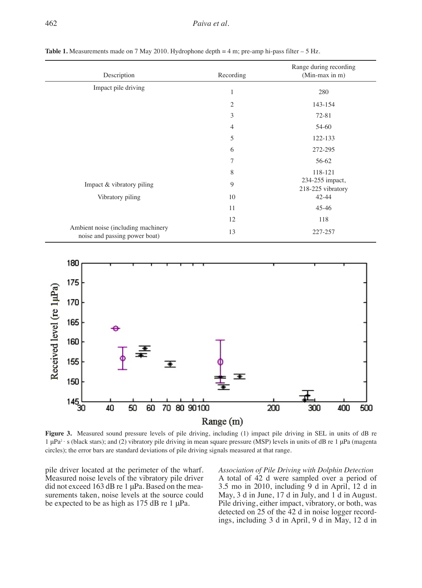| Description                                                         | Recording      | Range during recording<br>(Min-max in m) |  |  |
|---------------------------------------------------------------------|----------------|------------------------------------------|--|--|
| Impact pile driving                                                 | $\mathbf{1}$   | 280                                      |  |  |
|                                                                     | $\overline{2}$ | 143-154                                  |  |  |
|                                                                     | 3              | $72 - 81$                                |  |  |
|                                                                     | $\overline{4}$ | 54-60                                    |  |  |
|                                                                     | 5              | 122-133                                  |  |  |
|                                                                     | 6              | 272-295                                  |  |  |
|                                                                     | $\overline{7}$ | 56-62                                    |  |  |
|                                                                     | 8              | 118-121                                  |  |  |
| Impact & vibratory piling                                           | 9              | 234-255 impact,<br>218-225 vibratory     |  |  |
| Vibratory piling                                                    | 10             | $42 - 44$                                |  |  |
|                                                                     | 11             | $45 - 46$                                |  |  |
|                                                                     | 12             | 118                                      |  |  |
| Ambient noise (including machinery<br>noise and passing power boat) | 13             | 227-257                                  |  |  |

**Table 1.** Measurements made on 7 May 2010. Hydrophone depth  $= 4$  m; pre-amp hi-pass filter  $- 5$  Hz.



**Figure 3.** Measured sound pressure levels of pile driving, including (1) impact pile driving in SEL in units of dB re 1 μPa2 · s (black stars); and (2) vibratory pile driving in mean square pressure (MSP) levels in units of dB re 1 μPa (magenta circles); the error bars are standard deviations of pile driving signals measured at that range.

pile driver located at the perimeter of the wharf. Measured noise levels of the vibratory pile driver did not exceed 163 dB re 1 μPa. Based on the measurements taken, noise levels at the source could be expected to be as high as 175 dB re 1 μPa.

*Association of Pile Driving with Dolphin Detection*  A total of 42 d were sampled over a period of 3.5 mo in 2010, including 9 d in April, 12 d in May, 3 d in June, 17 d in July, and 1 d in August. Pile driving, either impact, vibratory, or both, was detected on 25 of the 42 d in noise logger recordings, including 3 d in April, 9 d in May, 12 d in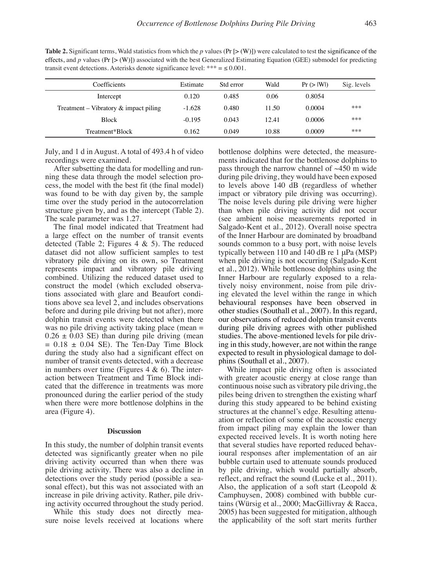**Table 2.** Significant terms, Wald statistics from which the  $p$  values ( $Pr$  [> (W)]) were calculated to test the significance of the effects, and  $p$  values (Pr  $[>(W)]$ ) associated with the best Generalized Estimating Equation (GEE) submodel for predicting transit event detections. Asterisks denote significance level: \*\*\* =  $\leq 0.001$ .

| Coefficients                             | Estimate | Std error | Wald  | Pr(>  W ) | Sig. levels |
|------------------------------------------|----------|-----------|-------|-----------|-------------|
| Intercept                                | 0.120    | 0.485     | 0.06  | 0.8054    |             |
| Treatment – Vibratory $\&$ impact piling | $-1.628$ | 0.480     | 11.50 | 0.0004    | ***         |
| <b>Block</b>                             | $-0.195$ | 0.043     | 12.41 | 0.0006    | ***         |
| Treatment*Block                          | 0.162    | 0.049     | 10.88 | 0.0009    | ***         |

July, and 1 d in August. A total of 493.4 h of video recordings were examined.

After subsetting the data for modelling and running these data through the model selection process, the model with the best fit (the final model) was found to be with day given by, the sample time over the study period in the autocorrelation structure given by, and as the intercept (Table 2). The scale parameter was 1.27.

The final model indicated that Treatment had a large effect on the number of transit events detected (Table 2; Figures  $4 \& 5$ ). The reduced dataset did not allow sufficient samples to test vibratory pile driving on its own, so Treatment represents impact and vibratory pile driving combined. Utilizing the reduced dataset used to construct the model (which excluded observations associated with glare and Beaufort conditions above sea level 2, and includes observations before and during pile driving but not after), more dolphin transit events were detected when there was no pile driving activity taking place (mean =  $0.26 \pm 0.03$  SE) than during pile driving (mean  $= 0.18 \pm 0.04$  SE). The Ten-Day Time Block during the study also had a significant effect on number of transit events detected, with a decrease in numbers over time (Figures  $4 \& 6$ ). The interaction between Treatment and Time Block indicated that the difference in treatments was more pronounced during the earlier period of the study when there were more bottlenose dolphins in the area (Figure 4).

## **Discussion**

In this study, the number of dolphin transit events detected was significantly greater when no pile driving activity occurred than when there was pile driving activity. There was also a decline in detections over the study period (possible a seasonal effect), but this was not associated with an increase in pile driving activity. Rather, pile driving activity occurred throughout the study period.

While this study does not directly measure noise levels received at locations where

bottlenose dolphins were detected, the measurements indicated that for the bottlenose dolphins to pass through the narrow channel of ~450 m wide during pile driving, they would have been exposed to levels above 140 dB (regardless of whether impact or vibratory pile driving was occurring). The noise levels during pile driving were higher than when pile driving activity did not occur (see ambient noise measurements reported in Salgado-Kent et al., 2012). Overall noise spectra of the Inner Harbour are dominated by broadband sounds common to a busy port, with noise levels typically between 110 and 140 dB re 1 μPa (MSP) when pile driving is not occurring (Salgado-Kent et al., 2012). While bottlenose dolphins using the Inner Harbour are regularly exposed to a relatively noisy environment, noise from pile driving elevated the level within the range in which behavioural responses have been observed in other studies (Southall et al., 2007). In this regard, our observations of reduced dolphin transit events during pile driving agrees with other published studies. The above-mentioned levels for pile driving in this study, however, are not within the range expected to result in physiological damage to dolphins (Southall et al., 2007).

While impact pile driving often is associated with greater acoustic energy at close range than continuous noise such as vibratory pile driving, the piles being driven to strengthen the existing wharf during this study appeared to be behind existing structures at the channel's edge. Resulting attenuation or reflection of some of the acoustic energy from impact piling may explain the lower than expected received levels. It is worth noting here that several studies have reported reduced behavioural responses after implementation of an air bubble curtain used to attenuate sounds produced by pile driving, which would partially absorb, reflect, and refract the sound (Lucke et al., 2011). Also, the application of a soft start (Leopold  $\&$ Camphuysen, 2008) combined with bubble curtains (Würsig et al., 2000; MacGillivray & Racca, 2005) has been suggested for mitigation, although the applicability of the soft start merits further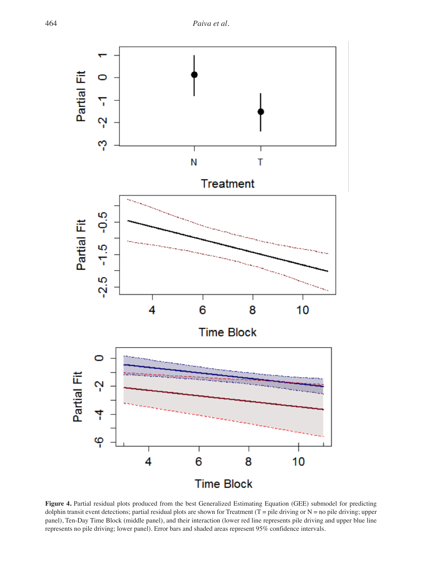

Figure 4. Partial residual plots produced from the best Generalized Estimating Equation (GEE) submodel for predicting dolphin transit event detections; partial residual plots are shown for Treatment (T = pile driving or  $N =$  no pile driving; upper panel), Ten-Day Time Block (middle panel), and their interaction (lower red line represents pile driving and upper blue line represents no pile driving; lower panel). Error bars and shaded areas represent 95% confidence intervals.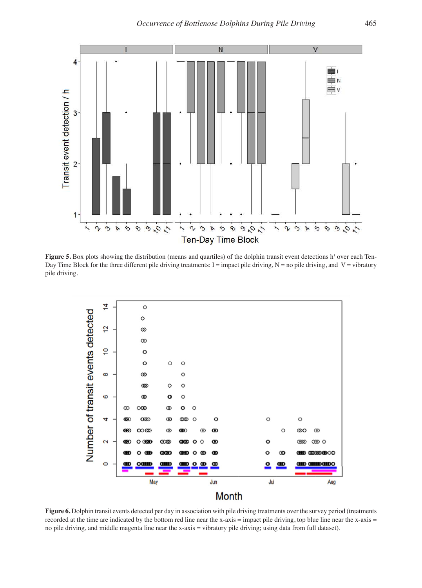

Figure 5. Box plots showing the distribution (means and quartiles) of the dolphin transit event detections h<sup>1</sup> over each Ten-Day Time Block for the three different pile driving treatments: I = impact pile driving,  $N =$  no pile driving, and  $V =$  vibratory pile driving.



Figure 6. Dolphin transit events detected per day in association with pile driving treatments over the survey period (treatments recorded at the time are indicated by the bottom red line near the x-axis = impact pile driving, top blue line near the x-axis = no pile driving, and middle magenta line near the x-axis = vibratory pile driving; using data from full dataset).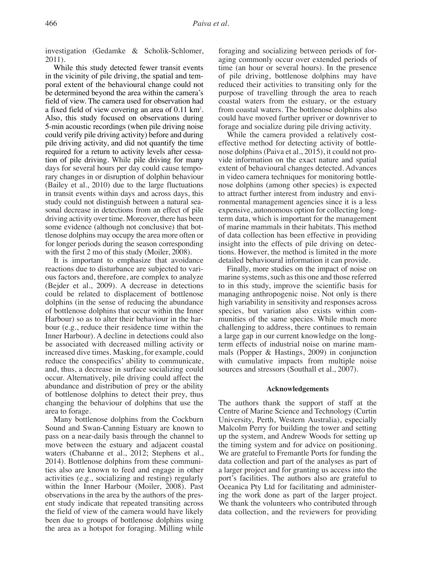investigation (Gedamke & Scholik-Schlomer, 2011).

While this study detected fewer transit events in the vicinity of pile driving, the spatial and temporal extent of the behavioural change could not be determined beyond the area within the camera's field of view. The camera used for observation had a fixed field of view covering an area of 0.11 km<sup>2</sup>. Also, this study focused on observations during 5-min acoustic recordings (when pile driving noise could verify pile driving activity) before and during pile driving activity, and did not quantify the time required for a return to activity levels after cessation of pile driving. While pile driving for many days for several hours per day could cause temporary changes in or disruption of dolphin behaviour (Bailey et al., 2010) due to the large fluctuations in transit events within days and across days, this study could not distinguish between a natural seasonal decrease in detections from an effect of pile driving activity over time. Moreover, there has been some evidence (although not conclusive) that bottlenose dolphins may occupy the area more often or for longer periods during the season corresponding with the first 2 mo of this study (Moiler, 2008).

It is important to emphasize that avoidance reactions due to disturbance are subjected to various factors and, therefore, are complex to analyze (Bejder et al., 2009). A decrease in detections could be related to displacement of bottlenose dolphins (in the sense of reducing the abundance of bottlenose dolphins that occur within the Inner Harbour) so as to alter their behaviour in the harbour (e.g., reduce their residence time within the Inner Harbour). A decline in detections could also be associated with decreased milling activity or increased dive times. Masking, for example, could reduce the conspecifics' ability to communicate, and, thus, a decrease in surface socializing could occur. Alternatively, pile driving could affect the abundance and distribution of prey or the ability of bottlenose dolphins to detect their prey, thus changing the behaviour of dolphins that use the area to forage.

Many bottlenose dolphins from the Cockburn Sound and Swan-Canning Estuary are known to pass on a near-daily basis through the channel to move between the estuary and adjacent coastal waters (Chabanne et al., 2012; Stephens et al., 2014). Bottlenose dolphins from these communities also are known to feed and engage in other activities (e.g., socializing and resting) regularly within the Inner Harbour (Moiler, 2008). Past observations in the area by the authors of the present study indicate that repeated transiting across the field of view of the camera would have likely been due to groups of bottlenose dolphins using the area as a hotspot for foraging. Milling while

foraging and socializing between periods of foraging commonly occur over extended periods of time (an hour or several hours). In the presence of pile driving, bottlenose dolphins may have reduced their activities to transiting only for the purpose of travelling through the area to reach coastal waters from the estuary, or the estuary from coastal waters. The bottlenose dolphins also could have moved further upriver or downriver to forage and socialize during pile driving activity.

While the camera provided a relatively costeffective method for detecting activity of bottlenose dolphins (Paiva et al., 2015), it could not provide information on the exact nature and spatial extent of behavioural changes detected. Advances in video camera techniques for monitoring bottlenose dolphins (among other species) is expected to attract further interest from industry and environmental management agencies since it is a less expensive, autonomous option for collecting longterm data, which is important for the management of marine mammals in their habitats. This method of data collection has been effective in providing insight into the effects of pile driving on detections. However, the method is limited in the more detailed behavioural information it can provide.

Finally, more studies on the impact of noise on marine systems, such as this one and those referred to in this study, improve the scientific basis for managing anthropogenic noise. Not only is there high variability in sensitivity and responses across species, but variation also exists within communities of the same species. While much more challenging to address, there continues to remain a large gap in our current knowledge on the longterm effects of industrial noise on marine mammals (Popper & Hastings, 2009) in conjunction with cumulative impacts from multiple noise sources and stressors (Southall et al., 2007).

## **Acknowledgements**

The authors thank the support of staff at the Centre of Marine Science and Technology (Curtin University, Perth, Western Australia), especially Malcolm Perry for building the tower and setting up the system, and Andrew Woods for setting up the timing system and for advice on positioning. We are grateful to Fremantle Ports for funding the data collection and part of the analyses as part of a larger project and for granting us access into the port's facilities. The authors also are grateful to Oceanica Pty Ltd for facilitating and administering the work done as part of the larger project. We thank the volunteers who contributed through data collection, and the reviewers for providing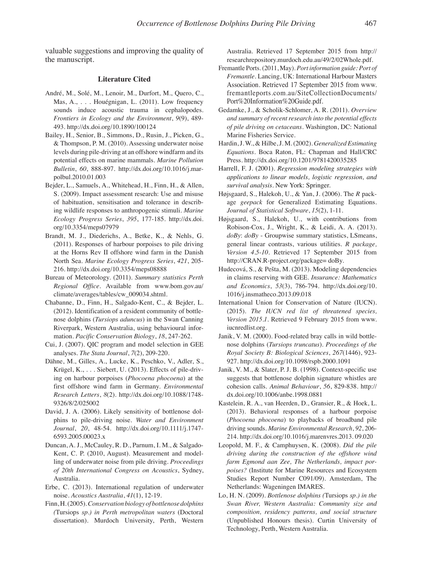valuable suggestions and improving the quality of the manuscript.

## **Literature Cited**

- André, M., Solé, M., Lenoir, M., Durfort, M., Quero, C., Mas, A., . . . Houégnigan, L. (2011). Low frequency sounds induce acoustic trauma in cephalopodes. *Frontiers in Ecology and the Environment*, *9*(9), 489- 493. http://dx.doi.org/10.1890/100124
- Bailey, H., Senior, B., Simmons, D., Rusin, J., Picken, G., & Thompson, P. M. (2010). Assessing underwater noise levels during pile-driving at an offshore windfarm and its potential effects on marine mammals. *Marine Pollution Bulletin*, *60*, 888-897. http://dx.doi.org/10.1016/j.marpolbul.2010.01.003
- Bejder, L., Samuels, A., Whitehead, H., Finn, H., & Allen, S. (2009). Impact assessment research: Use and misuse of habituation, sensitisation and tolerance in describing wildlife responses to anthropogenic stimuli. *Marine Ecology Progress Series*, *395*, 177-185. http://dx.doi. org/10.3354/meps07979
- Brandt, M. J., Diederichs, A., Betke, K., & Nehls, G. (2011). Responses of harbour porpoises to pile driving at the Horns Rev II offshore wind farm in the Danish North Sea. *Marine Ecology Progress Series*, *421*, 205- 216. http://dx.doi.org/10.3354/meps08888
- Bureau of Meteorology. (2011). *Summary statistics Perth Regional Office*. Available from www.bom.gov.au/ climate/averages/tables/cw\_009034.shtml.
- Chabanne, D., Finn, H., Salgado-Kent, C., & Bejder, L. (2012). Identification of a resident community of bottlenose dolphins (*Tursiops aduncus*) in the Swan Canning Riverpark, Western Australia, using behavioural information. *Pacific Conservation Biology*, *18*, 247-262.
- Cui, J. (2007). QIC program and model selection in GEE analyses. *The Stata Journal*, *7*(2), 209-220.
- Dähne, M., Gilles, A., Lucke, K., Peschko, V., Adler, S., Krügel, K., . . . Siebert, U. (2013). Effects of pile-driving on harbour porpoises (*Phocoena phocoena*) at the first offshore wind farm in Germany. *Environmental Research Letters*, *8*(2). http://dx.doi.org/10.1088/1748- 9326/8/2/025002
- David, J. A. (2006). Likely sensitivity of bottlenose dolphins to pile-driving noise. *Water and Environment Journal*, *20*, 48-54. http://dx.doi.org/10.1111/j.1747- 6593.2005.00023.x
- Duncan, A. J., McCauley, R. D., Parnum, I. M., & Salgado-Kent, C. P. (2010, August). Measurement and modelling of underwater noise from pile driving. *Proceedings of 20th International Congress on Acoustics*, Sydney, Australia.
- Erbe, C. (2013). International regulation of underwater noise. *Acoustics Australia*, *41*(1), 12-19.
- Finn, H. (2005). *Conservation biology of bottlenose dolphins (*Tursiops *sp.) in Perth metropolitan waters* (Doctoral dissertation). Murdoch University, Perth, Western

Australia. Retrieved 17 September 2015 from http:// researchrepository.murdoch.edu.au/49/2/02Whole.pdf.

- Fremantle Ports. (2011, May). *Port information guide: Port of Fremantle.* Lancing, UK: International Harbour Masters Association. Retrieved 17 September 2015 from www. fremantleports.com.au/SiteCollectionDocuments/ Port%20Information%20Guide.pdf.
- Gedamke, J., & Scholik-Schlomer, A. R. (2011). *Overview and summary of recent research into the potential effects of pile driving on cetaceans*. Washington, DC: National Marine Fisheries Service.
- Hardin, J. W., & Hilbe, J. M. (2002). *Generalized Estimating Equations*. Boca Raton, FL: Chapman and Hall/CRC Press. http://dx.doi.org/10.1201/9781420035285
- Harrell, F. J. (2001). *Regression modeling strategies with applications to linear models, logistic regression, and survival analysis*. New York: Springer.
- Højsgaard, S., Halekoh, U., & Yan, J. (2006). The *R* package *geepack* for Generalized Estimating Equations. *Journal of Statistical Software*, *15*(2), 1-11.
- Højsgaard, S., Halekoh, U., with contributions from Robison-Cox, J., Wright, K., & Leidi, A. A. (2013). *doBy*: *doBy* - Groupwise summary statistics, LSmeans, general linear contrasts, various utilities. *R package, Version 4.5-10*. Retrieved 17 September 2015 from http://CRAN.R-project.org/package= doBy.
- Hudecová, S., & Pešta, M. (2013). Modeling dependencies in claims reserving with GEE. *Insurance: Mathematics and Economics*, *53*(3), 786-794. http://dx.doi.org/10. 1016/j.insmatheco.2013.09.018
- International Union for Conservation of Nature (IUCN). (2015). *The IUCN red list of threatened species, Version 2015.1*. Retrieved 9 February 2015 from www. iucnredlist.org.
- Janik, V. M. (2000). Food-related bray calls in wild bottlenose dolphins (*Tursiops truncatus*). *Proceedings of the Royal Society B: Biological Sciences*, *267*(1446), 923- 927. http://dx.doi.org/10.1098/rspb.2000.1091
- Janik, V. M., & Slater, P. J. B. (1998). Context-specific use suggests that bottlenose dolphin signature whistles are cohesion calls. *Animal Behaviour*, *56*, 829-838. http:// dx.doi.org/10.1006/anbe.1998.0881
- Kastelein, R. A., van Heerden, D., Gransier, R., & Hoek, L. (2013). Behavioral responses of a harbour porpoise (*Phocoena phocoena*) to playbacks of broadband pile driving sounds. *Marine Environmental Research*, *92*, 206- 214. http://dx.doi.org/10.1016/j.marenvres.2013. 09.020
- Leopold, M. F., & Camphuysen, K. (2008). *Did the pile driving during the construction of the offshore wind farm Egmond aan Zee, The Netherlands, impact porpoises?* (Institute for Marine Resources and Ecosystem Studies Report Number C091/09). Amsterdam, The Netherlands: Wageningen IMARES.
- Lo, H. N. (2009). *Bottlenose dolphins (*Tursiops *sp.) in the Swan River, Western Australia: Community size and composition, residency patterns, and social structure*  (Unpublished Honours thesis). Curtin University of Technology, Perth, Western Australia.